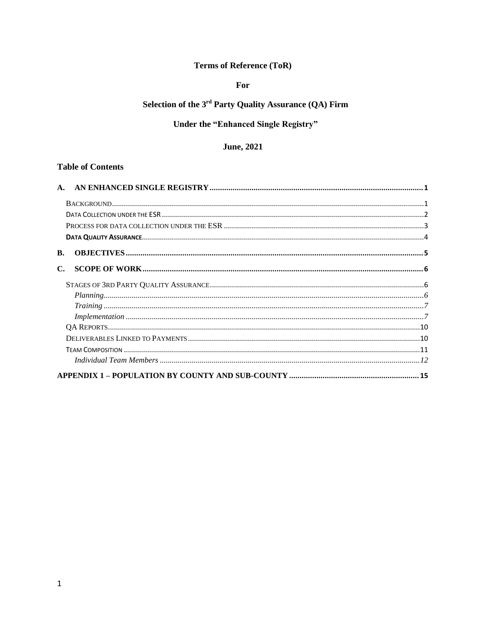### **Terms of Reference (ToR)**

### For

# Selection of the 3<sup>rd</sup> Party Quality Assurance (QA) Firm

# Under the "Enhanced Single Registry"

### **June**, 2021

#### **Table of Contents**

| B.                                                                                                                                                                                                                                                                                                                                                                            |  |
|-------------------------------------------------------------------------------------------------------------------------------------------------------------------------------------------------------------------------------------------------------------------------------------------------------------------------------------------------------------------------------|--|
|                                                                                                                                                                                                                                                                                                                                                                               |  |
|                                                                                                                                                                                                                                                                                                                                                                               |  |
|                                                                                                                                                                                                                                                                                                                                                                               |  |
|                                                                                                                                                                                                                                                                                                                                                                               |  |
| $\label{eq:implementation} Implementation \hspace{0.05cm}  \hspace{0.05cm}  \hspace{0.05cm}  \hspace{0.05cm}  \hspace{0.05cm}  \hspace{0.05cm}  \hspace{0.05cm}  \hspace{0.05cm}  \hspace{0.05cm}  \hspace{0.05cm}  \hspace{0.05cm}  \hspace{0.05cm}  \hspace{0.05cm}  \hspace{0.05cm}  \hspace{0.05cm}  \hspace{0.05cm}  \hspace{0.05cm}  \hspace{0.05cm}  \hspace{0.05cm} $ |  |
|                                                                                                                                                                                                                                                                                                                                                                               |  |
|                                                                                                                                                                                                                                                                                                                                                                               |  |
|                                                                                                                                                                                                                                                                                                                                                                               |  |
|                                                                                                                                                                                                                                                                                                                                                                               |  |
|                                                                                                                                                                                                                                                                                                                                                                               |  |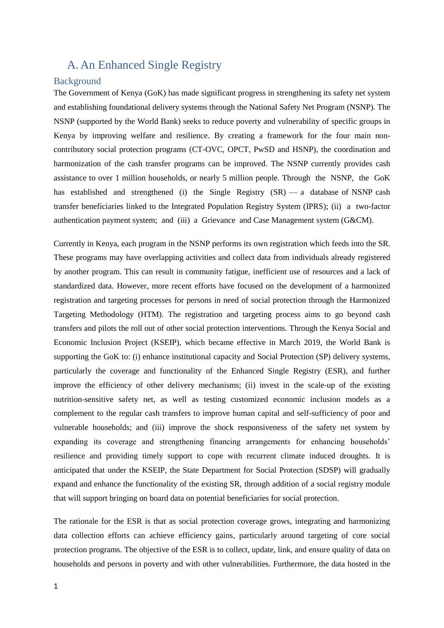# <span id="page-1-1"></span><span id="page-1-0"></span>A. An Enhanced Single Registry

#### Background

The Government of Kenya (GoK) has made significant progress in strengthening its safety net system and establishing foundational delivery systems through the National Safety Net Program (NSNP). The NSNP (supported by the World Bank) seeks to reduce poverty and vulnerability of specific groups in Kenya by improving welfare and resilience. By creating a framework for the four main noncontributory social protection programs (CT-OVC, OPCT, PwSD and HSNP), the coordination and harmonization of the cash transfer programs can be improved. The NSNP currently provides cash assistance to over 1 million households, or nearly 5 million people. Through the NSNP, the GoK has established and strengthened (i) the Single Registry  $(SR)$  — a database of NSNP cash transfer beneficiaries linked to the Integrated Population Registry System (IPRS); (ii) a two-factor authentication payment system; and (iii) a Grievance and Case Management system (G&CM).

Currently in Kenya, each program in the NSNP performs its own registration which feeds into the SR. These programs may have overlapping activities and collect data from individuals already registered by another program. This can result in community fatigue, inefficient use of resources and a lack of standardized data. However, more recent efforts have focused on the development of a harmonized registration and targeting processes for persons in need of social protection through the Harmonized Targeting Methodology (HTM). The registration and targeting process aims to go beyond cash transfers and pilots the roll out of other social protection interventions. Through the Kenya Social and Economic Inclusion Project (KSEIP), which became effective in March 2019, the World Bank is supporting the GoK to: (i) enhance institutional capacity and Social Protection (SP) delivery systems, particularly the coverage and functionality of the Enhanced Single Registry (ESR), and further improve the efficiency of other delivery mechanisms; (ii) invest in the scale-up of the existing nutrition-sensitive safety net, as well as testing customized economic inclusion models as a complement to the regular cash transfers to improve human capital and self-sufficiency of poor and vulnerable households; and (iii) improve the shock responsiveness of the safety net system by expanding its coverage and strengthening financing arrangements for enhancing households' resilience and providing timely support to cope with recurrent climate induced droughts. It is anticipated that under the KSEIP, the State Department for Social Protection (SDSP) will gradually expand and enhance the functionality of the existing SR, through addition of a social registry module that will support bringing on board data on potential beneficiaries for social protection.

The rationale for the ESR is that as social protection coverage grows, integrating and harmonizing data collection efforts can achieve efficiency gains, particularly around targeting of core social protection programs. The objective of the ESR is to collect, update, link, and ensure quality of data on households and persons in poverty and with other vulnerabilities. Furthermore, the data hosted in the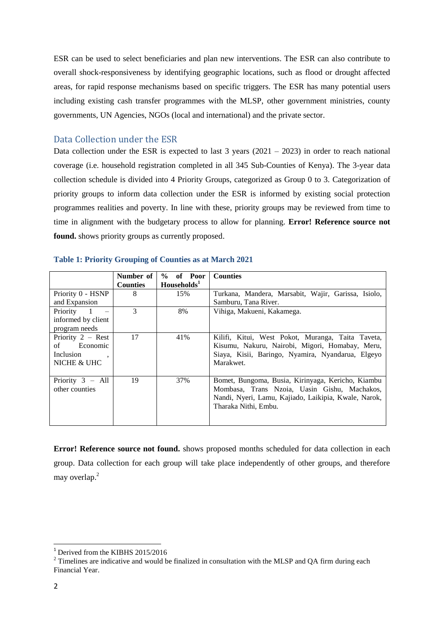ESR can be used to select beneficiaries and plan new interventions. The ESR can also contribute to overall shock-responsiveness by identifying geographic locations, such as flood or drought affected areas, for rapid response mechanisms based on specific triggers. The ESR has many potential users including existing cash transfer programmes with the MLSP, other government ministries, county governments, UN Agencies, NGOs (local and international) and the private sector.

#### <span id="page-2-0"></span>Data Collection under the ESR

Data collection under the ESR is expected to last  $3$  years (2021 – 2023) in order to reach national coverage (i.e. household registration completed in all 345 Sub-Counties of Kenya). The 3-year data collection schedule is divided into 4 Priority Groups, categorized as Group 0 to 3. Categorization of priority groups to inform data collection under the ESR is informed by existing social protection programmes realities and poverty. In line with these, priority groups may be reviewed from time to time in alignment with the budgetary process to allow for planning. **Error! Reference source not found.** shows priority groups as currently proposed.

|                            | Number of       | $%$ of Poor             | <b>Counties</b>                                      |
|----------------------------|-----------------|-------------------------|------------------------------------------------------|
|                            | <b>Counties</b> | Households <sup>1</sup> |                                                      |
| Priority 0 - HSNP          | 8               | 15%                     | Turkana, Mandera, Marsabit, Wajir, Garissa, Isiolo,  |
| and Expansion              |                 |                         | Samburu, Tana River.                                 |
| Priority<br>$\overline{1}$ | 3               | 8%                      | Vihiga, Makueni, Kakamega.                           |
| informed by client         |                 |                         |                                                      |
| program needs              |                 |                         |                                                      |
| Priority 2 - Rest          | 17              | 41%                     | Kilifi, Kitui, West Pokot, Muranga, Taita Taveta,    |
| Economic<br>of             |                 |                         | Kisumu, Nakuru, Nairobi, Migori, Homabay, Meru,      |
| <i>Inclusion</i>           |                 |                         | Siaya, Kisii, Baringo, Nyamira, Nyandarua, Elgeyo    |
| NICHE & UHC                |                 |                         | Marakwet.                                            |
|                            |                 |                         |                                                      |
| Priority $3 - All$         | 19              | 37%                     | Bomet, Bungoma, Busia, Kirinyaga, Kericho, Kiambu    |
| other counties             |                 |                         | Mombasa, Trans Nzoia, Uasin Gishu, Machakos,         |
|                            |                 |                         | Nandi, Nyeri, Lamu, Kajiado, Laikipia, Kwale, Narok, |
|                            |                 |                         | Tharaka Nithi, Embu.                                 |
|                            |                 |                         |                                                      |
|                            |                 |                         |                                                      |

#### **Table 1: Priority Grouping of Counties as at March 2021**

**Error! Reference source not found.** shows proposed months scheduled for data collection in each group. Data collection for each group will take place independently of other groups, and therefore may overlap. 2

**.** 

<sup>&</sup>lt;sup>1</sup> Derived from the KIBHS 2015/2016

<sup>&</sup>lt;sup>2</sup> Timelines are indicative and would be finalized in consultation with the MLSP and QA firm during each Financial Year.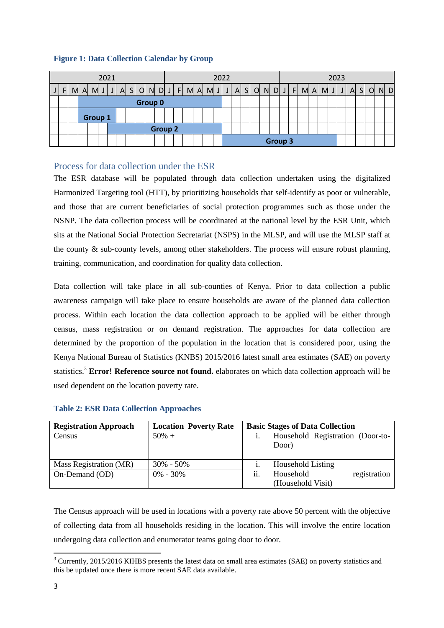#### **Figure 1: Data Collection Calendar by Group**

<span id="page-3-0"></span>

|    |   |   |         | 2021 |  |  |         |                | 2022                  |   |  |                                                                              |  |  |  |  | 2023 |  |                |  |  |  |  |   |                |   |  |       |
|----|---|---|---------|------|--|--|---------|----------------|-----------------------|---|--|------------------------------------------------------------------------------|--|--|--|--|------|--|----------------|--|--|--|--|---|----------------|---|--|-------|
| F. | M | A |         |      |  |  |         |                | $M$ J J A S O N D J F | M |  | $A \cup I$ $I \cup A$ $S \cup A$ $I \cup I$ $I \cup I$ $I \cup I$ $I \cup I$ |  |  |  |  |      |  |                |  |  |  |  | A | S <sub>1</sub> | O |  | $N$ D |
|    |   |   |         |      |  |  | Group 0 |                |                       |   |  |                                                                              |  |  |  |  |      |  |                |  |  |  |  |   |                |   |  |       |
|    |   |   | Group 1 |      |  |  |         |                |                       |   |  |                                                                              |  |  |  |  |      |  |                |  |  |  |  |   |                |   |  |       |
|    |   |   |         |      |  |  |         | <b>Group 2</b> |                       |   |  |                                                                              |  |  |  |  |      |  |                |  |  |  |  |   |                |   |  |       |
|    |   |   |         |      |  |  |         |                |                       |   |  |                                                                              |  |  |  |  |      |  | <b>Group 3</b> |  |  |  |  |   |                |   |  |       |

#### Process for data collection under the ESR

The ESR database will be populated through data collection undertaken using the digitalized Harmonized Targeting tool (HTT), by prioritizing households that self-identify as poor or vulnerable, and those that are current beneficiaries of social protection programmes such as those under the NSNP. The data collection process will be coordinated at the national level by the ESR Unit, which sits at the National Social Protection Secretariat (NSPS) in the MLSP, and will use the MLSP staff at the county & sub-county levels, among other stakeholders. The process will ensure robust planning, training, communication, and coordination for quality data collection.

Data collection will take place in all sub-counties of Kenya. Prior to data collection a public awareness campaign will take place to ensure households are aware of the planned data collection process. Within each location the data collection approach to be applied will be either through census, mass registration or on demand registration. The approaches for data collection are determined by the proportion of the population in the location that is considered poor, using the Kenya National Bureau of Statistics (KNBS) 2015/2016 latest small area estimates (SAE) on poverty statistics.<sup>3</sup> **Error! Reference source not found.** elaborates on which data collection approach will be used dependent on the location poverty rate.

| <b>Table 2: ESR Data Collection Approaches</b> |  |
|------------------------------------------------|--|
|------------------------------------------------|--|

| <b>Registration Approach</b> | <b>Location Poverty Rate</b> |     | <b>Basic Stages of Data Collection</b> |
|------------------------------|------------------------------|-----|----------------------------------------|
| Census                       | $50\% +$                     |     | Household Registration (Door-to-       |
|                              |                              |     | Door)                                  |
|                              |                              |     |                                        |
| Mass Registration (MR)       | $30\% - 50\%$                |     | <b>Household Listing</b>               |
| On-Demand (OD)               | $0\% - 30\%$                 | ii. | Household<br>registration              |
|                              |                              |     | (Household Visit)                      |

The Census approach will be used in locations with a poverty rate above 50 percent with the objective of collecting data from all households residing in the location. This will involve the entire location undergoing data collection and enumerator teams going door to door.

**<sup>.</sup>** <sup>3</sup> Currently, 2015/2016 KIHBS presents the latest data on small area estimates (SAE) on poverty statistics and this be updated once there is more recent SAE data available.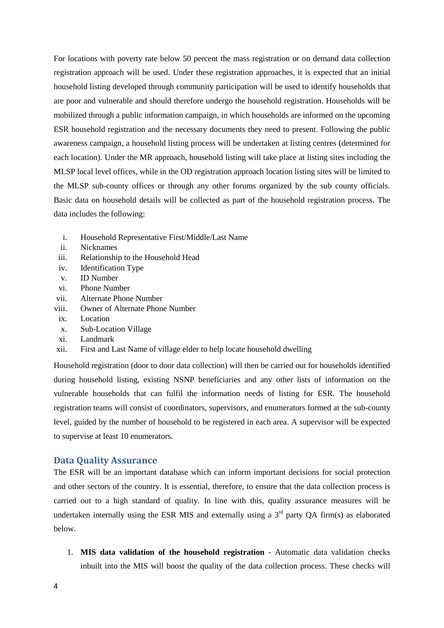For locations with poverty rate below 50 percent the mass registration or on demand data collection registration approach will be used. Under these registration approaches, it is expected that an initial household listing developed through community participation will be used to identify households that are poor and vulnerable and should therefore undergo the household registration. Households will be mobilized through a public information campaign, in which households are informed on the upcoming ESR household registration and the necessary documents they need to present. Following the public awareness campaign, a household listing process will be undertaken at listing centres (determined for each location). Under the MR approach, household listing will take place at listing sites including the MLSP local level offices, while in the OD registration approach location listing sites will be limited to the MLSP sub-county offices or through any other forums organized by the sub county officials. Basic data on household details will be collected as part of the household registration process. The data includes the following:

- i. Household Representative First/Middle/Last Name
- ii. Nicknames
- iii. Relationship to the Household Head
- iv. Identification Type
- v. ID Number
- vi. Phone Number
- vii. Alternate Phone Number
- viii. Owner of Alternate Phone Number
- ix. Location
- x. Sub-Location Village
- xi. Landmark
- xii. First and Last Name of village elder to help locate household dwelling

Household registration (door to door data collection) will then be carried out for households identified during household listing, existing NSNP beneficiaries and any other lists of information on the vulnerable households that can fulfil the information needs of listing for ESR. The household registration teams will consist of coordinators, supervisors, and enumerators formed at the sub-county level, guided by the number of household to be registered in each area. A supervisor will be expected to supervise at least 10 enumerators.

#### <span id="page-4-0"></span>**Data Quality Assurance**

The ESR will be an important database which can inform important decisions for social protection and other sectors of the country. It is essential, therefore, to ensure that the data collection process is carried out to a high standard of quality. In line with this, quality assurance measures will be undertaken internally using the ESR MIS and externally using a  $3<sup>rd</sup>$  party OA firm(s) as elaborated below.

1. **MIS data validation of the household registration** - Automatic data validation checks inbuilt into the MIS will boost the quality of the data collection process. These checks will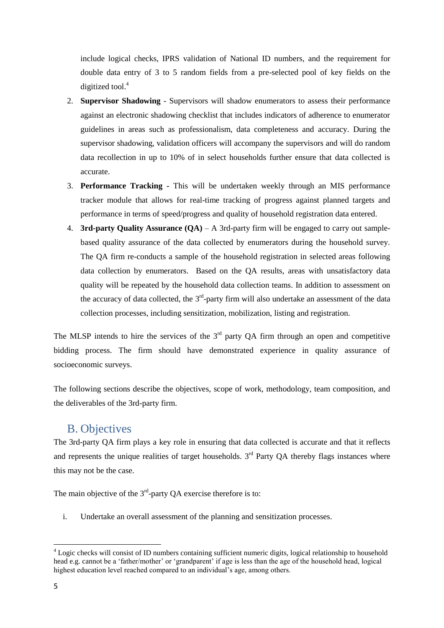include logical checks, IPRS validation of National ID numbers, and the requirement for double data entry of 3 to 5 random fields from a pre-selected pool of key fields on the digitized tool. 4

- 2. **Supervisor Shadowing** Supervisors will shadow enumerators to assess their performance against an electronic shadowing checklist that includes indicators of adherence to enumerator guidelines in areas such as professionalism, data completeness and accuracy. During the supervisor shadowing, validation officers will accompany the supervisors and will do random data recollection in up to 10% of in select households further ensure that data collected is accurate.
- 3. **Performance Tracking -** This will be undertaken weekly through an MIS performance tracker module that allows for real-time tracking of progress against planned targets and performance in terms of speed/progress and quality of household registration data entered.
- 4. **3rd-party Quality Assurance (QA)**  A 3rd-party firm will be engaged to carry out samplebased quality assurance of the data collected by enumerators during the household survey. The QA firm re-conducts a sample of the household registration in selected areas following data collection by enumerators. Based on the QA results, areas with unsatisfactory data quality will be repeated by the household data collection teams. In addition to assessment on the accuracy of data collected, the 3<sup>rd</sup>-party firm will also undertake an assessment of the data collection processes, including sensitization, mobilization, listing and registration.

The MLSP intends to hire the services of the  $3<sup>rd</sup>$  party QA firm through an open and competitive bidding process. The firm should have demonstrated experience in quality assurance of socioeconomic surveys.

<span id="page-5-0"></span>The following sections describe the objectives, scope of work, methodology, team composition, and the deliverables of the 3rd-party firm.

## B. Objectives

The 3rd-party QA firm plays a key role in ensuring that data collected is accurate and that it reflects and represents the unique realities of target households.  $3<sup>rd</sup>$  Party QA thereby flags instances where this may not be the case.

The main objective of the  $3<sup>rd</sup>$ -party QA exercise therefore is to:

i. Undertake an overall assessment of the planning and sensitization processes.

1

<sup>&</sup>lt;sup>4</sup> Logic checks will consist of ID numbers containing sufficient numeric digits, logical relationship to household head e.g. cannot be a 'father/mother' or 'grandparent' if age is less than the age of the household head, logical highest education level reached compared to an individual's age, among others.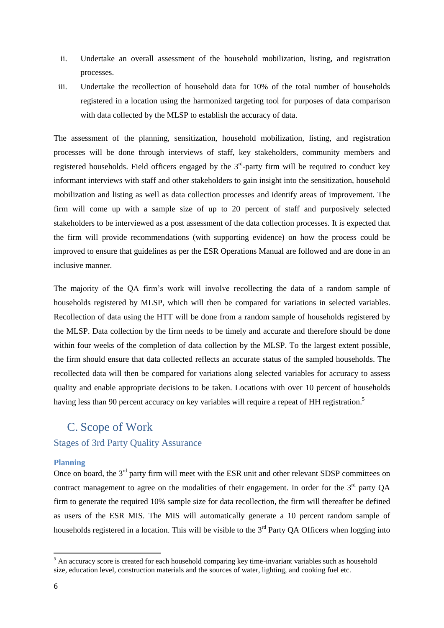- ii. Undertake an overall assessment of the household mobilization, listing, and registration processes.
- iii. Undertake the recollection of household data for 10% of the total number of households registered in a location using the harmonized targeting tool for purposes of data comparison with data collected by the MLSP to establish the accuracy of data.

The assessment of the planning, sensitization, household mobilization, listing, and registration processes will be done through interviews of staff, key stakeholders, community members and registered households. Field officers engaged by the  $3<sup>rd</sup>$ -party firm will be required to conduct key informant interviews with staff and other stakeholders to gain insight into the sensitization, household mobilization and listing as well as data collection processes and identify areas of improvement. The firm will come up with a sample size of up to 20 percent of staff and purposively selected stakeholders to be interviewed as a post assessment of the data collection processes. It is expected that the firm will provide recommendations (with supporting evidence) on how the process could be improved to ensure that guidelines as per the ESR Operations Manual are followed and are done in an inclusive manner.

The majority of the QA firm's work will involve recollecting the data of a random sample of households registered by MLSP, which will then be compared for variations in selected variables. Recollection of data using the HTT will be done from a random sample of households registered by the MLSP. Data collection by the firm needs to be timely and accurate and therefore should be done within four weeks of the completion of data collection by the MLSP. To the largest extent possible, the firm should ensure that data collected reflects an accurate status of the sampled households. The recollected data will then be compared for variations along selected variables for accuracy to assess quality and enable appropriate decisions to be taken. Locations with over 10 percent of households having less than 90 percent accuracy on key variables will require a repeat of HH registration.<sup>5</sup>

### <span id="page-6-2"></span><span id="page-6-1"></span><span id="page-6-0"></span>C. Scope of Work

#### Stages of 3rd Party Quality Assurance

#### **Planning**

Once on board, the 3<sup>rd</sup> party firm will meet with the ESR unit and other relevant SDSP committees on contract management to agree on the modalities of their engagement. In order for the  $3<sup>rd</sup>$  party QA firm to generate the required 10% sample size for data recollection, the firm will thereafter be defined as users of the ESR MIS. The MIS will automatically generate a 10 percent random sample of households registered in a location. This will be visible to the  $3<sup>rd</sup>$  Party QA Officers when logging into

**.** 

 $<sup>5</sup>$  An accuracy score is created for each household comparing key time-invariant variables such as household</sup> size, education level, construction materials and the sources of water, lighting, and cooking fuel etc.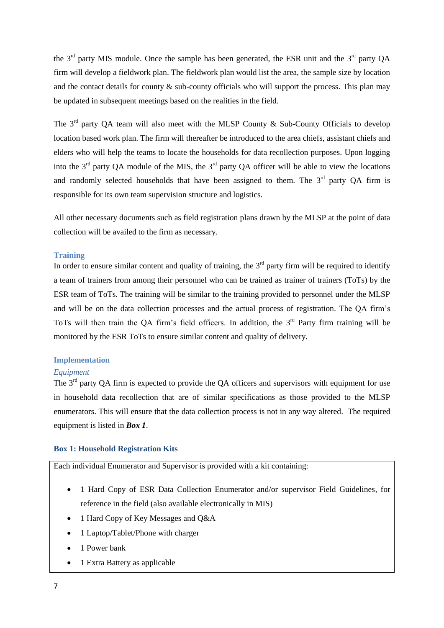the  $3<sup>rd</sup>$  party MIS module. Once the sample has been generated, the ESR unit and the  $3<sup>rd</sup>$  party QA firm will develop a fieldwork plan. The fieldwork plan would list the area, the sample size by location and the contact details for county & sub-county officials who will support the process. This plan may be updated in subsequent meetings based on the realities in the field.

The  $3<sup>rd</sup>$  party QA team will also meet with the MLSP County  $\&$  Sub-County Officials to develop location based work plan. The firm will thereafter be introduced to the area chiefs, assistant chiefs and elders who will help the teams to locate the households for data recollection purposes. Upon logging into the  $3<sup>rd</sup>$  party QA module of the MIS, the  $3<sup>rd</sup>$  party QA officer will be able to view the locations and randomly selected households that have been assigned to them. The  $3<sup>rd</sup>$  party OA firm is responsible for its own team supervision structure and logistics.

<span id="page-7-0"></span>All other necessary documents such as field registration plans drawn by the MLSP at the point of data collection will be availed to the firm as necessary.

#### **Training**

In order to ensure similar content and quality of training, the  $3<sup>rd</sup>$  party firm will be required to identify a team of trainers from among their personnel who can be trained as trainer of trainers (ToTs) by the ESR team of ToTs. The training will be similar to the training provided to personnel under the MLSP and will be on the data collection processes and the actual process of registration. The QA firm's ToTs will then train the OA firm's field officers. In addition, the  $3<sup>rd</sup>$  Party firm training will be monitored by the ESR ToTs to ensure similar content and quality of delivery.

#### <span id="page-7-1"></span>**Implementation**

#### *Equipment*

The  $3<sup>rd</sup>$  party OA firm is expected to provide the OA officers and supervisors with equipment for use in household data recollection that are of similar specifications as those provided to the MLSP enumerators. This will ensure that the data collection process is not in any way altered. The required equipment is listed in *[Box 1](#page-7-2)*.

#### <span id="page-7-2"></span>**Box 1: Household Registration Kits**

Each individual Enumerator and Supervisor is provided with a kit containing:

- 1 Hard Copy of ESR Data Collection Enumerator and/or supervisor Field Guidelines, for reference in the field (also available electronically in MIS)
- 1 Hard Copy of Key Messages and Q&A
- 1 Laptop/Tablet/Phone with charger
- 1 Power bank
- 1 Extra Battery as applicable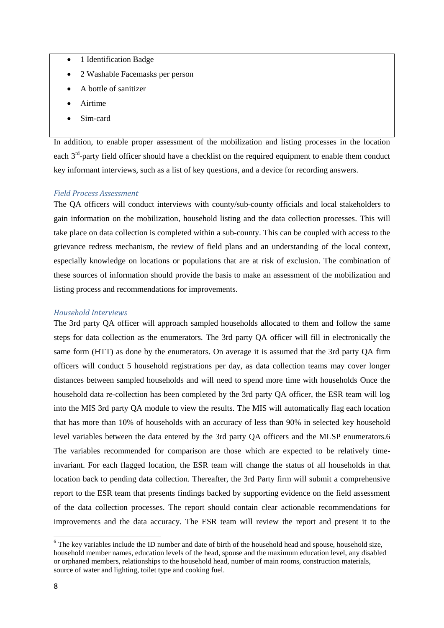- 1 Identification Badge
- 2 Washable Facemasks per person
- A bottle of sanitizer
- Airtime
- Sim-card

In addition, to enable proper assessment of the mobilization and listing processes in the location each  $3<sup>rd</sup>$ -party field officer should have a checklist on the required equipment to enable them conduct key informant interviews, such as a list of key questions, and a device for recording answers.

#### *Field Process Assessment*

The QA officers will conduct interviews with county/sub-county officials and local stakeholders to gain information on the mobilization, household listing and the data collection processes. This will take place on data collection is completed within a sub-county. This can be coupled with access to the grievance redress mechanism, the review of field plans and an understanding of the local context, especially knowledge on locations or populations that are at risk of exclusion. The combination of these sources of information should provide the basis to make an assessment of the mobilization and listing process and recommendations for improvements.

#### *Household Interviews*

The 3rd party QA officer will approach sampled households allocated to them and follow the same steps for data collection as the enumerators. The 3rd party QA officer will fill in electronically the same form (HTT) as done by the enumerators. On average it is assumed that the 3rd party QA firm officers will conduct 5 household registrations per day, as data collection teams may cover longer distances between sampled households and will need to spend more time with households Once the household data re-collection has been completed by the 3rd party QA officer, the ESR team will log into the MIS 3rd party QA module to view the results. The MIS will automatically flag each location that has more than 10% of households with an accuracy of less than 90% in selected key household level variables between the data entered by the 3rd party QA officers and the MLSP enumerators.6 The variables recommended for comparison are those which are expected to be relatively timeinvariant. For each flagged location, the ESR team will change the status of all households in that location back to pending data collection. Thereafter, the 3rd Party firm will submit a comprehensive report to the ESR team that presents findings backed by supporting evidence on the field assessment of the data collection processes. The report should contain clear actionable recommendations for improvements and the data accuracy. The ESR team will review the report and present it to the

**.** 

 $6$  The key variables include the ID number and date of birth of the household head and spouse, household size, household member names, education levels of the head, spouse and the maximum education level, any disabled or orphaned members, relationships to the household head, number of main rooms, construction materials, source of water and lighting, toilet type and cooking fuel.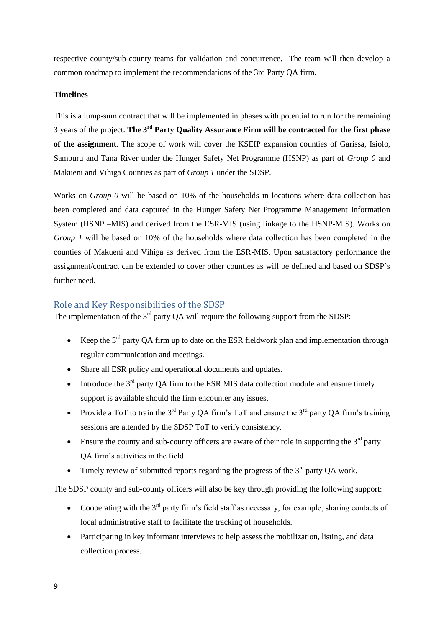respective county/sub-county teams for validation and concurrence. The team will then develop a common roadmap to implement the recommendations of the 3rd Party QA firm.

#### **Timelines**

This is a lump-sum contract that will be implemented in phases with potential to run for the remaining 3 years of the project. **The 3 rd Party Quality Assurance Firm will be contracted for the first phase of the assignment**. The scope of work will cover the KSEIP expansion counties of Garissa, Isiolo, Samburu and Tana River under the Hunger Safety Net Programme (HSNP) as part of *Group 0* and Makueni and Vihiga Counties as part of *Group 1* under the SDSP.

Works on *Group 0* will be based on 10% of the households in locations where data collection has been completed and data captured in the Hunger Safety Net Programme Management Information System (HSNP –MIS) and derived from the ESR-MIS (using linkage to the HSNP-MIS). Works on *Group 1* will be based on 10% of the households where data collection has been completed in the counties of Makueni and Vihiga as derived from the ESR-MIS. Upon satisfactory performance the assignment/contract can be extended to cover other counties as will be defined and based on SDSP`s further need.

### Role and Key Responsibilities of the SDSP

The implementation of the  $3<sup>rd</sup>$  party QA will require the following support from the SDSP:

- Example Keep the  $3<sup>rd</sup>$  party OA firm up to date on the ESR fieldwork plan and implementation through regular communication and meetings.
- Share all ESR policy and operational documents and updates.
- $\bullet$  Introduce the  $3<sup>rd</sup>$  party QA firm to the ESR MIS data collection module and ensure timely support is available should the firm encounter any issues.
- Provide a ToT to train the  $3^{rd}$  Party OA firm's ToT and ensure the  $3^{rd}$  party OA firm's training sessions are attended by the SDSP ToT to verify consistency.
- Ensure the county and sub-county officers are aware of their role in supporting the  $3<sup>rd</sup>$  party QA firm's activities in the field.
- Timely review of submitted reports regarding the progress of the  $3<sup>rd</sup>$  party QA work.

The SDSP county and sub-county officers will also be key through providing the following support:

- Cooperating with the  $3<sup>rd</sup>$  party firm's field staff as necessary, for example, sharing contacts of local administrative staff to facilitate the tracking of households.
- Participating in key informant interviews to help assess the mobilization, listing, and data collection process.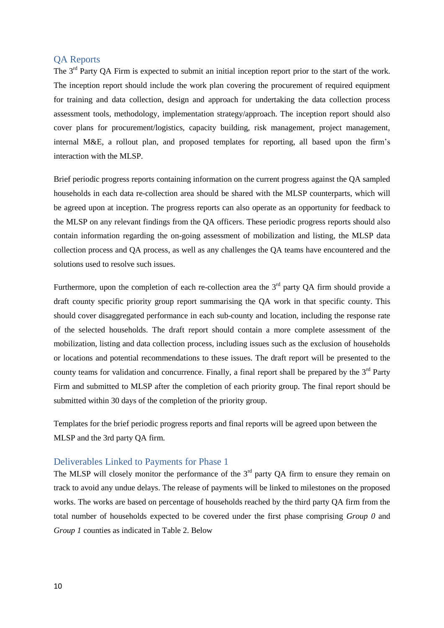### <span id="page-10-0"></span>QA Reports

The 3<sup>rd</sup> Party QA Firm is expected to submit an initial inception report prior to the start of the work. The inception report should include the work plan covering the procurement of required equipment for training and data collection, design and approach for undertaking the data collection process assessment tools, methodology, implementation strategy/approach. The inception report should also cover plans for procurement/logistics, capacity building, risk management, project management, internal M&E, a rollout plan, and proposed templates for reporting, all based upon the firm's interaction with the MLSP.

Brief periodic progress reports containing information on the current progress against the QA sampled households in each data re-collection area should be shared with the MLSP counterparts, which will be agreed upon at inception. The progress reports can also operate as an opportunity for feedback to the MLSP on any relevant findings from the QA officers. These periodic progress reports should also contain information regarding the on-going assessment of mobilization and listing, the MLSP data collection process and QA process, as well as any challenges the QA teams have encountered and the solutions used to resolve such issues.

Furthermore, upon the completion of each re-collection area the  $3<sup>rd</sup>$  party QA firm should provide a draft county specific priority group report summarising the QA work in that specific county. This should cover disaggregated performance in each sub-county and location, including the response rate of the selected households. The draft report should contain a more complete assessment of the mobilization, listing and data collection process, including issues such as the exclusion of households or locations and potential recommendations to these issues. The draft report will be presented to the county teams for validation and concurrence. Finally, a final report shall be prepared by the  $3<sup>rd</sup>$  Party Firm and submitted to MLSP after the completion of each priority group. The final report should be submitted within 30 days of the completion of the priority group.

<span id="page-10-1"></span>Templates for the brief periodic progress reports and final reports will be agreed upon between the MLSP and the 3rd party QA firm.

### Deliverables Linked to Payments for Phase 1

The MLSP will closely monitor the performance of the  $3<sup>rd</sup>$  party QA firm to ensure they remain on track to avoid any undue delays. The release of payments will be linked to milestones on the proposed works. The works are based on percentage of households reached by the third party QA firm from the total number of households expected to be covered under the first phase comprising *Group 0* and *Group 1* counties as indicated in [Table 2.](#page-11-1) Below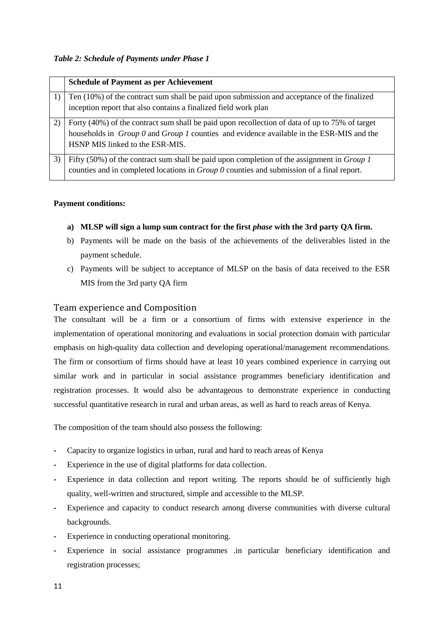#### <span id="page-11-1"></span>*Table 2: Schedule of Payments under Phase 1*

|    | <b>Schedule of Payment as per Achievement</b>                                                                                                                                                         |
|----|-------------------------------------------------------------------------------------------------------------------------------------------------------------------------------------------------------|
|    | Ten (10%) of the contract sum shall be paid upon submission and acceptance of the finalized<br>inception report that also contains a finalized field work plan                                        |
|    |                                                                                                                                                                                                       |
|    | Forty (40%) of the contract sum shall be paid upon recollection of data of up to 75% of target<br>households in Group 0 and Group 1 counties and evidence available in the ESR-MIS and the            |
|    | HSNP MIS linked to the ESR-MIS.                                                                                                                                                                       |
| 3) | Fifty (50%) of the contract sum shall be paid upon completion of the assignment in <i>Group 1</i><br>counties and in completed locations in <i>Group 0</i> counties and submission of a final report. |

#### **Payment conditions:**

- **a) MLSP** will sign a lump sum contract for the first *phase* with the 3rd party QA firm.
- b) Payments will be made on the basis of the achievements of the deliverables listed in the payment schedule.
- <span id="page-11-0"></span>c) Payments will be subject to acceptance of MLSP on the basis of data received to the ESR MIS from the 3rd party QA firm

### Team experience and Composition

The consultant will be a firm or a consortium of firms with extensive experience in the implementation of operational monitoring and evaluations in social protection domain with particular emphasis on high-quality data collection and developing operational/management recommendations. The firm or consortium of firms should have at least 10 years combined experience in carrying out similar work and in particular in social assistance programmes beneficiary identification and registration processes. It would also be advantageous to demonstrate experience in conducting successful quantitative research in rural and urban areas, as well as hard to reach areas of Kenya.

The composition of the team should also possess the following:

- **-** Capacity to organize logistics in urban, rural and hard to reach areas of Kenya
- Experience in the use of digital platforms for data collection.
- **-** Experience in data collection and report writing. The reports should be of sufficiently high quality, well-written and structured, simple and accessible to the MLSP.
- **-** Experience and capacity to conduct research among diverse communities with diverse cultural backgrounds.
- **-** Experience in conducting operational monitoring.
- **-** Experience in social assistance programmes .in particular beneficiary identification and registration processes;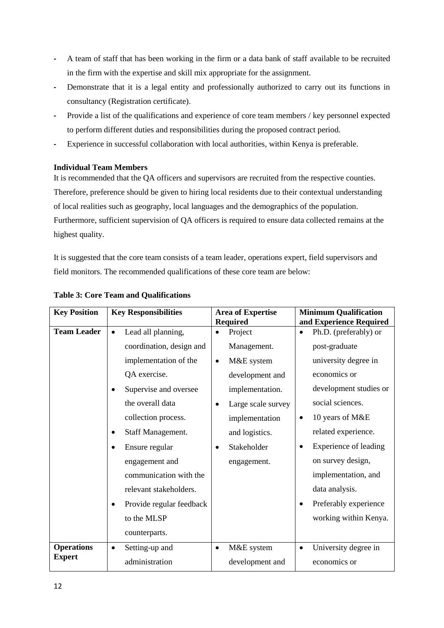- **-** A team of staff that has been working in the firm or a data bank of staff available to be recruited in the firm with the expertise and skill mix appropriate for the assignment.
- **-** Demonstrate that it is a legal entity and professionally authorized to carry out its functions in consultancy (Registration certificate).
- **-** Provide a list of the qualifications and experience of core team members / key personnel expected to perform different duties and responsibilities during the proposed contract period.
- <span id="page-12-0"></span>**-** Experience in successful collaboration with local authorities, within Kenya is preferable.

#### **Individual Team Members**

It is recommended that the QA officers and supervisors are recruited from the respective counties. Therefore, preference should be given to hiring local residents due to their contextual understanding of local realities such as geography, local languages and the demographics of the population. Furthermore, sufficient supervision of QA officers is required to ensure data collected remains at the highest quality.

It is suggested that the core team consists of a team leader, operations expert, field supervisors and field monitors. The recommended qualifications of these core team are below:

| <b>Key Position</b> |           | <b>Key Responsibilities</b> |           | <b>Area of Expertise</b> |           | <b>Minimum Qualification</b> |
|---------------------|-----------|-----------------------------|-----------|--------------------------|-----------|------------------------------|
|                     |           |                             |           | <b>Required</b>          |           | and Experience Required      |
| <b>Team Leader</b>  | $\bullet$ | Lead all planning,          | $\bullet$ | Project                  | $\bullet$ | Ph.D. (preferably) or        |
|                     |           | coordination, design and    |           | Management.              |           | post-graduate                |
|                     |           | implementation of the       | $\bullet$ | M&E system               |           | university degree in         |
|                     |           | QA exercise.                |           | development and          |           | economics or                 |
|                     |           | Supervise and oversee       |           | implementation.          |           | development studies or       |
|                     |           | the overall data            | ٠         | Large scale survey       |           | social sciences.             |
|                     |           | collection process.         |           | implementation           | $\bullet$ | 10 years of M&E              |
|                     |           | Staff Management.           |           | and logistics.           |           | related experience.          |
|                     |           | Ensure regular              |           | Stakeholder              | $\bullet$ | Experience of leading        |
|                     |           | engagement and              |           | engagement.              |           | on survey design,            |
|                     |           | communication with the      |           |                          |           | implementation, and          |
|                     |           | relevant stakeholders.      |           |                          |           | data analysis.               |
|                     |           | Provide regular feedback    |           |                          | $\bullet$ | Preferably experience        |
|                     |           | to the MLSP                 |           |                          |           | working within Kenya.        |
|                     |           | counterparts.               |           |                          |           |                              |
| <b>Operations</b>   | $\bullet$ | Setting-up and              | $\bullet$ | M&E system               | $\bullet$ | University degree in         |
| <b>Expert</b>       |           | administration              |           | development and          |           | economics or                 |

#### **Table 3: Core Team and Qualifications**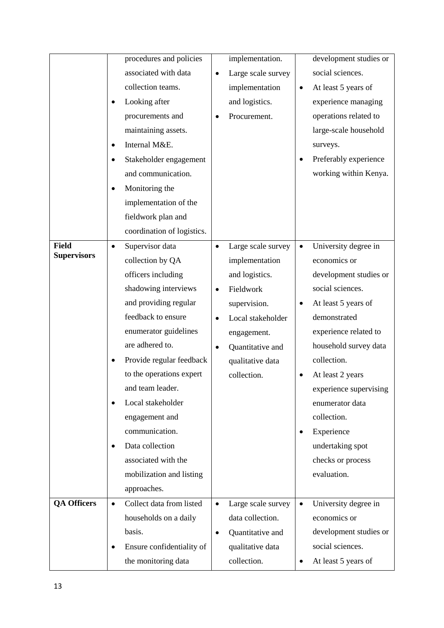|                    | procedures and policies               | implementation.                 | development studies or            |
|--------------------|---------------------------------------|---------------------------------|-----------------------------------|
|                    | associated with data                  | Large scale survey<br>$\bullet$ | social sciences.                  |
|                    | collection teams.                     | implementation                  | At least 5 years of<br>$\bullet$  |
|                    | Looking after                         | and logistics.                  | experience managing               |
|                    | procurements and                      | Procurement.                    | operations related to             |
|                    | maintaining assets.                   |                                 | large-scale household             |
|                    | Internal M&E.                         |                                 | surveys.                          |
|                    | Stakeholder engagement                |                                 | Preferably experience<br>٠        |
|                    | and communication.                    |                                 | working within Kenya.             |
|                    | Monitoring the                        |                                 |                                   |
|                    | implementation of the                 |                                 |                                   |
|                    | fieldwork plan and                    |                                 |                                   |
|                    | coordination of logistics.            |                                 |                                   |
| <b>Field</b>       | Supervisor data<br>$\bullet$          | Large scale survey<br>$\bullet$ | University degree in<br>$\bullet$ |
| <b>Supervisors</b> | collection by QA                      | implementation                  | economics or                      |
|                    | officers including                    | and logistics.                  | development studies or            |
|                    | shadowing interviews                  | Fieldwork<br>$\bullet$          | social sciences.                  |
|                    | and providing regular                 | supervision.                    | At least 5 years of<br>٠          |
|                    | feedback to ensure                    | Local stakeholder<br>$\bullet$  | demonstrated                      |
|                    | enumerator guidelines                 | engagement.                     | experience related to             |
|                    | are adhered to.                       | Quantitative and<br>$\bullet$   | household survey data             |
|                    | Provide regular feedback              | qualitative data                | collection.                       |
|                    | to the operations expert              | collection.                     | At least 2 years<br>٠             |
|                    | and team leader.                      |                                 | experience supervising            |
|                    | Local stakeholder                     |                                 | enumerator data                   |
|                    | engagement and                        |                                 | collection.                       |
|                    | communication.                        |                                 | Experience<br>٠                   |
|                    | Data collection<br>٠                  |                                 | undertaking spot                  |
|                    | associated with the                   |                                 | checks or process                 |
|                    | mobilization and listing              |                                 | evaluation.                       |
|                    | approaches.                           |                                 |                                   |
| <b>QA Officers</b> | Collect data from listed<br>$\bullet$ | Large scale survey<br>$\bullet$ | University degree in<br>$\bullet$ |
|                    | households on a daily                 | data collection.                | economics or                      |
|                    | basis.                                | Quantitative and<br>$\bullet$   | development studies or            |
|                    | Ensure confidentiality of<br>٠        | qualitative data                | social sciences.                  |
|                    | the monitoring data                   | collection.                     | At least 5 years of<br>٠          |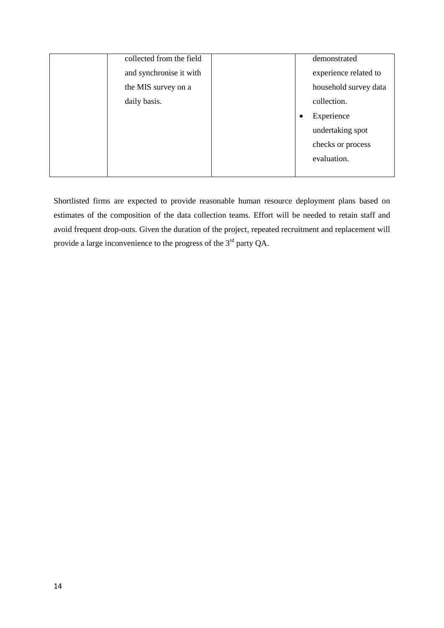| collected from the field | demonstrated            |
|--------------------------|-------------------------|
|                          |                         |
| and synchronise it with  | experience related to   |
| the MIS survey on a      | household survey data   |
| daily basis.             | collection.             |
|                          | Experience<br>$\bullet$ |
|                          | undertaking spot        |
|                          | checks or process       |
|                          | evaluation.             |
|                          |                         |

Shortlisted firms are expected to provide reasonable human resource deployment plans based on estimates of the composition of the data collection teams. Effort will be needed to retain staff and avoid frequent drop-outs. Given the duration of the project, repeated recruitment and replacement will provide a large inconvenience to the progress of the 3<sup>rd</sup> party QA.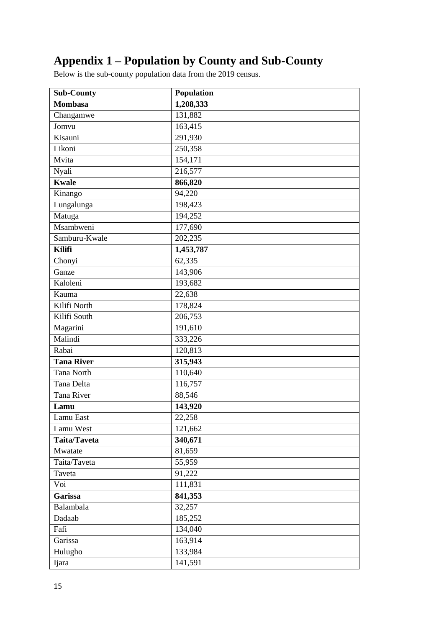# <span id="page-15-0"></span>**Appendix 1 – Population by County and Sub-County**

Below is the sub-county population data from the 2019 census.

| <b>Sub-County</b>   | Population            |
|---------------------|-----------------------|
| <b>Mombasa</b>      | 1,208,333             |
| Changamwe           | 131,882               |
| Jomvu               | 163,415               |
| Kisauni             | 291,930               |
| Likoni              | 250,358               |
| Mvita               | 154,171               |
| Nyali               | 216,577               |
| <b>Kwale</b>        | 866,820               |
| Kinango             | 94,220                |
| Lungalunga          | 198,423               |
| Matuga              | 194,252               |
| Msambweni           | 177,690               |
| Samburu-Kwale       | 202,235               |
| <b>Kilifi</b>       | 1,453,787             |
| Chonyi              | 62,335                |
| Ganze               | 143,906               |
| Kaloleni            | 193,682               |
| Kauma               | 22,638                |
| Kilifi North        | 178,824               |
| Kilifi South        | 206,753               |
| Magarini            | 191,610               |
| Malindi             | 333,226               |
| Rabai               | 120,813               |
| <b>Tana River</b>   | 315,943               |
| Tana North          | 110,640               |
| Tana Delta          | 116,757               |
| Tana River          | 88,546                |
| Lamu                | 143,920               |
| Lamu East           | 22,258                |
| Lamu West           | 121,662               |
| <b>Taita/Taveta</b> | 340,671               |
| Mwatate             | 81,659                |
| Taita/Taveta        | 55,959                |
| Taveta              | 91,222                |
| Voi                 | 111,831               |
| Garissa             | 841,353               |
| Balambala           | 32,257                |
| Dadaab              | 185,252               |
| Fafi                | 134,040               |
| Garissa             | 163,914               |
| Hulugho             | 133,984               |
| Ijara               | $\overline{1}$ 41,591 |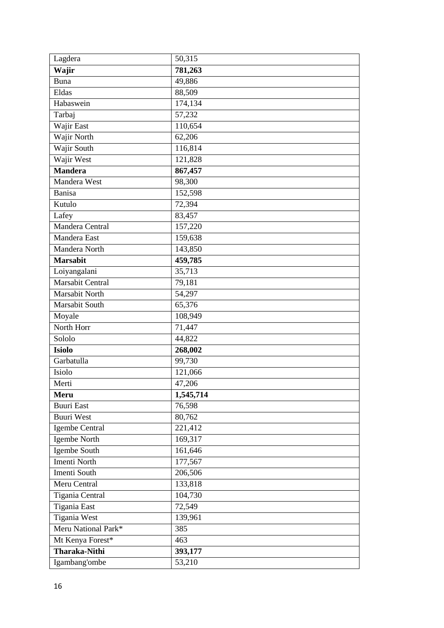| Lagdera              | 50,315    |
|----------------------|-----------|
| Wajir                | 781,263   |
| Buna                 | 49,886    |
| Eldas                | 88,509    |
| Habaswein            | 174,134   |
| Tarbaj               | 57,232    |
| Wajir East           | 110,654   |
| Wajir North          | 62,206    |
| Wajir South          | 116,814   |
| Wajir West           | 121,828   |
| <b>Mandera</b>       | 867,457   |
| Mandera West         | 98,300    |
| Banisa               | 152,598   |
| Kutulo               | 72,394    |
| Lafey                | 83,457    |
| Mandera Central      | 157,220   |
| Mandera East         | 159,638   |
| Mandera North        | 143,850   |
| <b>Marsabit</b>      | 459,785   |
| Loiyangalani         | 35,713    |
| Marsabit Central     | 79,181    |
| Marsabit North       | 54,297    |
| Marsabit South       | 65,376    |
| Moyale               | 108,949   |
| North Horr           | 71,447    |
| Sololo               | 44,822    |
| <b>Isiolo</b>        | 268,002   |
| Garbatulla           | 99,730    |
| Isiolo               | 121,066   |
| Merti                | 47,206    |
| Meru                 | 1,545,714 |
| <b>Buuri East</b>    | 76,598    |
| <b>Buuri West</b>    | 80,762    |
| Igembe Central       | 221,412   |
| Igembe North         | 169,317   |
| Igembe South         | 161,646   |
| Imenti North         | 177,567   |
| <b>Imenti South</b>  | 206,506   |
| Meru Central         | 133,818   |
| Tigania Central      | 104,730   |
| <b>Tigania East</b>  | 72,549    |
| <b>Tigania West</b>  | 139,961   |
| Meru National Park*  | 385       |
| Mt Kenya Forest*     | 463       |
| <b>Tharaka-Nithi</b> | 393,177   |
| Igambang'ombe        | 53,210    |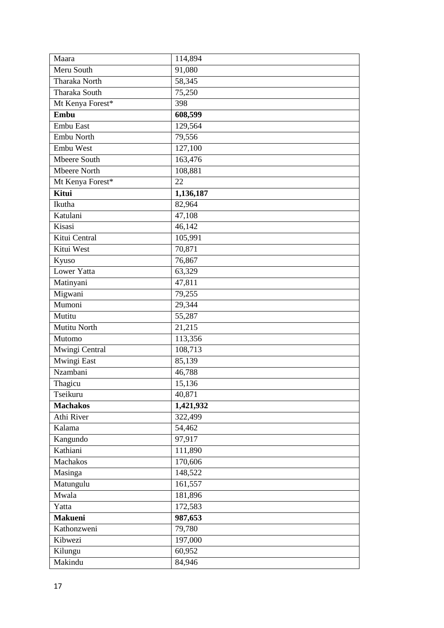| Maara                | 114,894   |
|----------------------|-----------|
| Meru South           | 91,080    |
| Tharaka North        | 58,345    |
| <b>Tharaka South</b> | 75,250    |
| Mt Kenya Forest*     | 398       |
| Embu                 | 608,599   |
| Embu East            | 129,564   |
| Embu North           | 79,556    |
| Embu West            | 127,100   |
| <b>Mbeere South</b>  | 163,476   |
| Mbeere North         | 108,881   |
| Mt Kenya Forest*     | 22        |
| Kitui                | 1,136,187 |
| Ikutha               | 82,964    |
| Katulani             | 47,108    |
| Kisasi               | 46,142    |
| Kitui Central        | 105,991   |
| Kitui West           | 70,871    |
| Kyuso                | 76,867    |
| <b>Lower Yatta</b>   | 63,329    |
| Matinyani            | 47,811    |
| Migwani              | 79,255    |
| Mumoni               | 29,344    |
| Mutitu               | 55,287    |
| <b>Mutitu North</b>  | 21,215    |
| Mutomo               | 113,356   |
| Mwingi Central       | 108,713   |
| Mwingi East          | 85,139    |
| Nzambani             | 46,788    |
| Thagicu              | 15,136    |
| Tseikuru             | 40,871    |
| <b>Machakos</b>      | 1,421,932 |
| Athi River           | 322,499   |
| Kalama               | 54,462    |
| Kangundo             | 97,917    |
| Kathiani             | 111,890   |
| Machakos             | 170,606   |
| Masinga              | 148,522   |
| Matungulu            | 161,557   |
| Mwala                | 181,896   |
| Yatta                | 172,583   |
| <b>Makueni</b>       | 987,653   |
| Kathonzweni          | 79,780    |
|                      |           |
| Kibwezi              | 197,000   |
| Kilungu<br>Makindu   | 60,952    |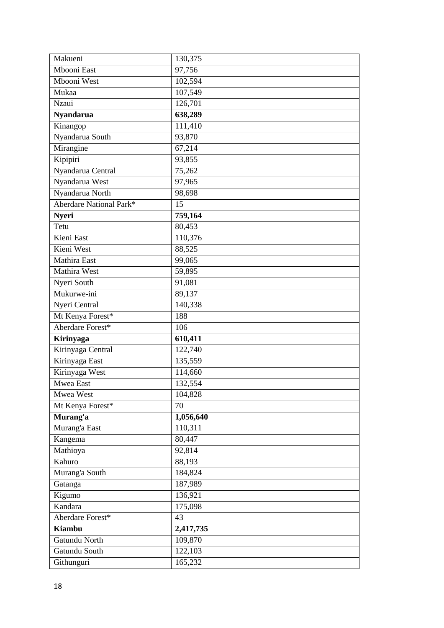| Makueni                 | 130,375   |
|-------------------------|-----------|
| Mbooni East             | 97,756    |
| Mbooni West             | 102,594   |
| Mukaa                   | 107,549   |
| Nzaui                   | 126,701   |
| <b>Nyandarua</b>        | 638,289   |
| Kinangop                | 111,410   |
| Nyandarua South         | 93,870    |
| Mirangine               | 67,214    |
| Kipipiri                | 93,855    |
| Nyandarua Central       | 75,262    |
| Nyandarua West          | 97,965    |
| Nyandarua North         | 98,698    |
| Aberdare National Park* | 15        |
| <b>Nyeri</b>            | 759,164   |
| Tetu                    | 80,453    |
| Kieni East              | 110,376   |
| Kieni West              | 88,525    |
| Mathira East            | 99,065    |
| Mathira West            | 59,895    |
| Nyeri South             | 91,081    |
| Mukurwe-ini             | 89,137    |
| Nyeri Central           | 140,338   |
|                         |           |
| Mt Kenya Forest*        | 188       |
| Aberdare Forest*        | 106       |
| Kirinyaga               | 610,411   |
| Kirinyaga Central       | 122,740   |
| Kirinyaga East          | 135,559   |
| Kirinyaga West          | 114,660   |
| Mwea East               | 132,554   |
| Mwea West               | 104,828   |
| Mt Kenya Forest*        | 70        |
| Murang'a                | 1,056,640 |
| Murang'a East           | 110,311   |
| Kangema                 | 80,447    |
| Mathioya                | 92,814    |
| Kahuro                  | 88,193    |
| Murang'a South          | 184,824   |
| Gatanga                 | 187,989   |
| Kigumo                  | 136,921   |
| Kandara                 | 175,098   |
| Aberdare Forest*        | 43        |
| <b>Kiambu</b>           | 2,417,735 |
| Gatundu North           | 109,870   |
| Gatundu South           | 122,103   |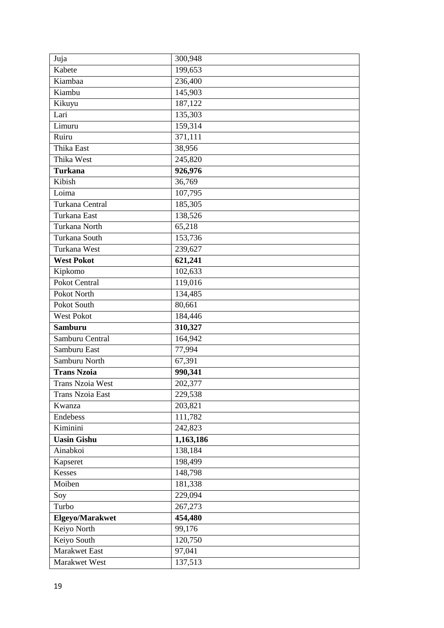| Juja                    | 300,948   |
|-------------------------|-----------|
| Kabete                  | 199,653   |
| Kiambaa                 | 236,400   |
| $\overline{$ Kiambu     | 145,903   |
| Kikuyu                  | 187,122   |
| Lari                    | 135,303   |
| Limuru                  | 159,314   |
| Ruiru                   | 371,111   |
| Thika East              | 38,956    |
| Thika West              | 245,820   |
| <b>Turkana</b>          | 926,976   |
| Kibish                  | 36,769    |
| Loima                   | 107,795   |
| Turkana Central         | 185,305   |
| Turkana East            | 138,526   |
| Turkana North           | 65,218    |
| Turkana South           | 153,736   |
| Turkana West            | 239,627   |
| <b>West Pokot</b>       | 621,241   |
| Kipkomo                 | 102,633   |
| Pokot Central           | 119,016   |
| Pokot North             | 134,485   |
| Pokot South             | 80,661    |
| West Pokot              | 184,446   |
| <b>Samburu</b>          | 310,327   |
| Samburu Central         | 164,942   |
| Samburu East            | 77,994    |
| Samburu North           | 67,391    |
| <b>Trans Nzoia</b>      | 990,341   |
| <b>Trans Nzoia West</b> | 202,377   |
| Trans Nzoia East        | 229,538   |
| Kwanza                  | 203,821   |
| Endebess                | 111,782   |
| Kiminini                | 242,823   |
| <b>Uasin Gishu</b>      | 1,163,186 |
| Ainabkoi                | 138,184   |
| Kapseret                | 198,499   |
| <b>Kesses</b>           | 148,798   |
| Moiben                  | 181,338   |
| Soy                     | 229,094   |
| Turbo                   | 267,273   |
| Elgeyo/Marakwet         | 454,480   |
| Keiyo North             | 99,176    |
| Keiyo South             | 120,750   |
| Marakwet East           | 97,041    |
| Marakwet West           | 137,513   |
|                         |           |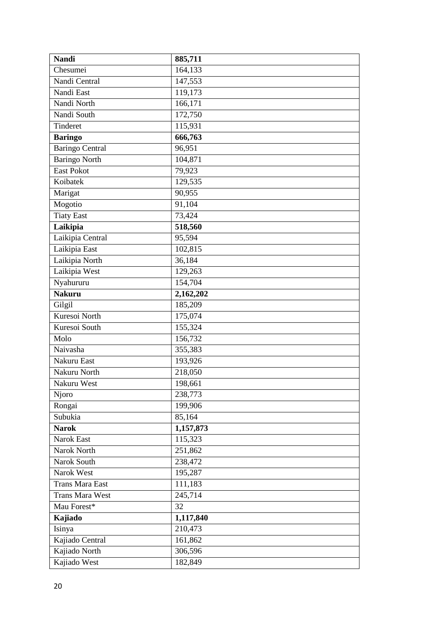| <b>Nandi</b>           | 885,711   |
|------------------------|-----------|
| Chesumei               | 164,133   |
| Nandi Central          | 147,553   |
| Nandi East             | 119,173   |
| Nandi North            | 166,171   |
| Nandi South            | 172,750   |
| Tinderet               | 115,931   |
| <b>Baringo</b>         | 666,763   |
| <b>Baringo Central</b> | 96,951    |
| <b>Baringo North</b>   | 104,871   |
| East Pokot             | 79,923    |
| Koibatek               | 129,535   |
| Marigat                | 90,955    |
| Mogotio                | 91,104    |
| <b>Tiaty East</b>      | 73,424    |
| Laikipia               | 518,560   |
| Laikipia Central       | 95,594    |
| Laikipia East          | 102,815   |
| Laikipia North         | 36,184    |
| Laikipia West          | 129,263   |
| Nyahururu              | 154,704   |
| <b>Nakuru</b>          | 2,162,202 |
| Gilgil                 | 185,209   |
| Kuresoi North          | 175,074   |
| Kuresoi South          | 155,324   |
| Molo                   | 156,732   |
| Naivasha               | 355,383   |
| Nakuru East            | 193,926   |
| Nakuru North           | 218,050   |
| Nakuru West            | 198,661   |
| Njoro                  | 238,773   |
| Rongai                 | 199,906   |
| Subukia                | 85,164    |
| <b>Narok</b>           | 1,157,873 |
| Narok East             | 115,323   |
| Narok North            | 251,862   |
| Narok South            | 238,472   |
| Narok West             | 195,287   |
| Trans Mara East        | 111,183   |
| <b>Trans Mara West</b> | 245,714   |
| Mau Forest*            | 32        |
| Kajiado                | 1,117,840 |
| Isinya                 | 210,473   |
| Kajiado Central        | 161,862   |
| Kajiado North          | 306,596   |
| Kajiado West           | 182,849   |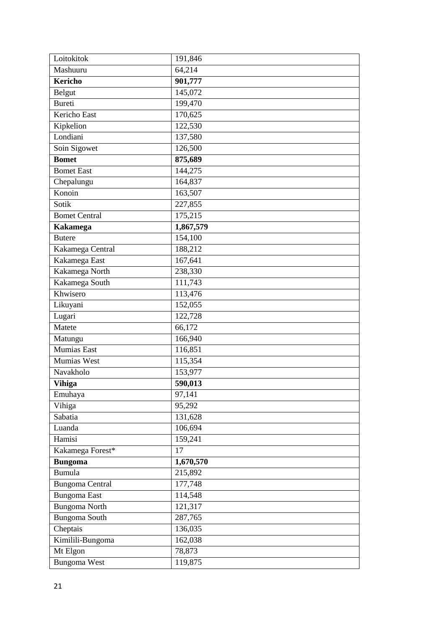| Loitokitok             | 191,846   |
|------------------------|-----------|
| Mashuuru               | 64,214    |
| <b>Kericho</b>         | 901,777   |
| Belgut                 | 145,072   |
| Bureti                 | 199,470   |
| Kericho East           | 170,625   |
| Kipkelion              | 122,530   |
| Londiani               | 137,580   |
| Soin Sigowet           | 126,500   |
| <b>Bomet</b>           | 875,689   |
| <b>Bomet East</b>      | 144,275   |
| Chepalungu             | 164,837   |
| Konoin                 | 163,507   |
| Sotik                  | 227,855   |
| <b>Bomet Central</b>   | 175,215   |
| <b>Kakamega</b>        | 1,867,579 |
| <b>Butere</b>          | 154,100   |
| Kakamega Central       | 188,212   |
| Kakamega East          | 167,641   |
| Kakamega North         | 238,330   |
| Kakamega South         | 111,743   |
| Khwisero               | 113,476   |
| Likuyani               | 152,055   |
| Lugari                 | 122,728   |
| Matete                 | 66,172    |
| Matungu                | 166,940   |
| Mumias East            | 116,851   |
| Mumias West            | 115,354   |
| Navakholo              | 153,977   |
| <b>Vihiga</b>          | 590,013   |
| Emuhaya                | 97,141    |
| Vihiga                 | 95,292    |
| Sabatia                | 131,628   |
| Luanda                 | 106,694   |
| Hamisi                 | 159,241   |
| Kakamega Forest*       | 17        |
| <b>Bungoma</b>         | 1,670,570 |
| Bumula                 | 215,892   |
| <b>Bungoma Central</b> | 177,748   |
| <b>Bungoma</b> East    | 114,548   |
| <b>Bungoma North</b>   | 121,317   |
| Bungoma South          | 287,765   |
| Cheptais               | 136,035   |
| Kimilili-Bungoma       | 162,038   |
| Mt Elgon               | 78,873    |
| <b>Bungoma West</b>    | 119,875   |
|                        |           |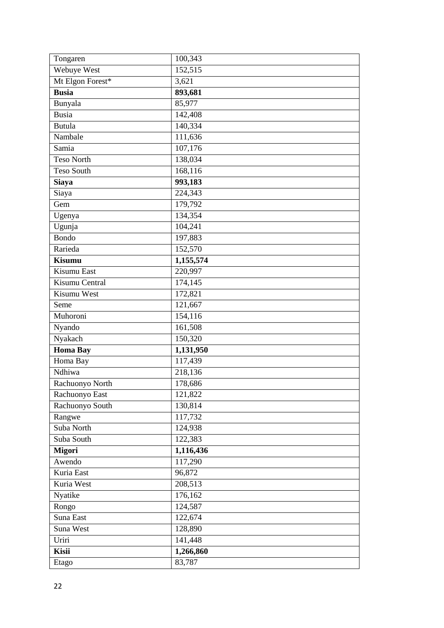| Tongaren         | 100,343   |
|------------------|-----------|
| Webuye West      | 152,515   |
| Mt Elgon Forest* | 3,621     |
| <b>Busia</b>     | 893,681   |
| Bunyala          | 85,977    |
| <b>Busia</b>     | 142,408   |
| Butula           | 140,334   |
| Nambale          | 111,636   |
| Samia            | 107,176   |
| Teso North       | 138,034   |
| Teso South       | 168,116   |
| <b>Siaya</b>     | 993,183   |
| Siaya            | 224,343   |
| Gem              | 179,792   |
| Ugenya           | 134,354   |
| Ugunja           | 104,241   |
| Bondo            | 197,883   |
| Rarieda          | 152,570   |
| <b>Kisumu</b>    | 1,155,574 |
| Kisumu East      | 220,997   |
| Kisumu Central   | 174,145   |
| Kisumu West      | 172,821   |
| Seme             | 121,667   |
| Muhoroni         | 154,116   |
| Nyando           | 161,508   |
| Nyakach          | 150,320   |
| <b>Homa Bay</b>  | 1,131,950 |
| Homa Bay         | 117,439   |
| Ndhiwa           | 218,136   |
| Rachuonyo North  | 178,686   |
| Rachuonyo East   | 121,822   |
| Rachuonyo South  | 130,814   |
| Rangwe           | 117,732   |
| Suba North       | 124,938   |
| Suba South       | 122,383   |
| <b>Migori</b>    | 1,116,436 |
| Awendo           | 117,290   |
| Kuria East       | 96,872    |
| Kuria West       | 208,513   |
| Nyatike          | 176,162   |
| Rongo            | 124,587   |
| Suna East        | 122,674   |
| Suna West        | 128,890   |
| Uriri            | 141,448   |
| Kisii            | 1,266,860 |
| Etago            | 83,787    |